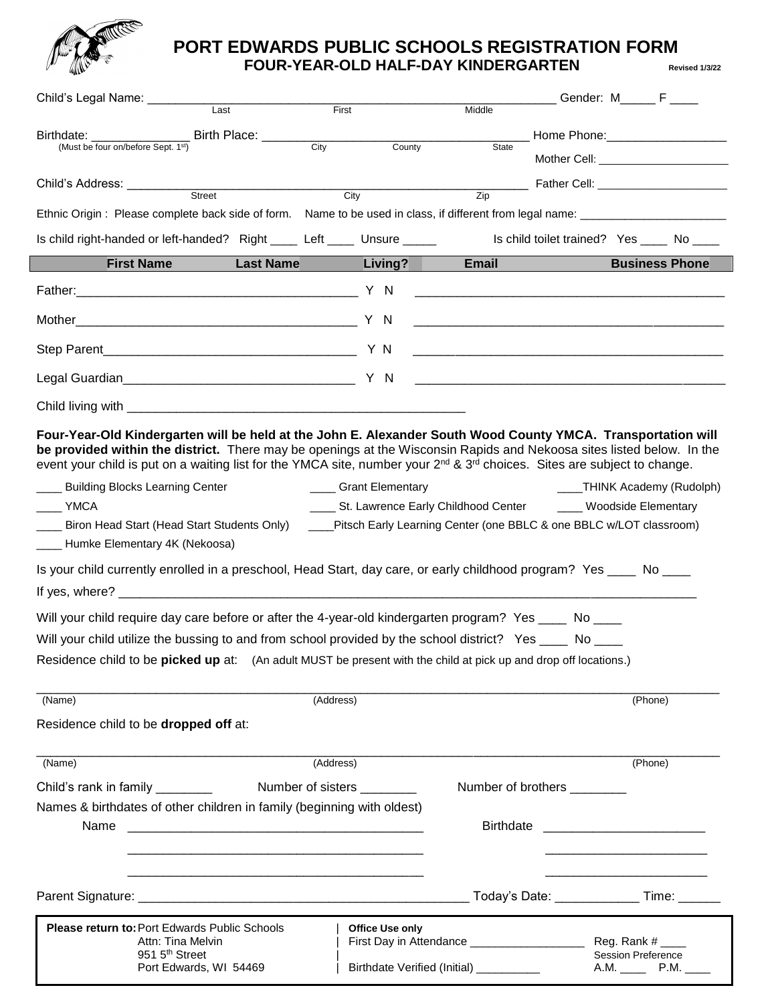

## **PORT EDWARDS PUBLIC SCHOOLS REGISTRATION FORM FOUR-YEAR-OLD HALF-DAY KINDERGARTEN Revised 1/3/22**

| Child's Legal Name: _________<br>Last                                                                                                                                                                                                                                                                                                                                                     | First                               | Middle                                                                                   | Gender: M______F                                                        |
|-------------------------------------------------------------------------------------------------------------------------------------------------------------------------------------------------------------------------------------------------------------------------------------------------------------------------------------------------------------------------------------------|-------------------------------------|------------------------------------------------------------------------------------------|-------------------------------------------------------------------------|
|                                                                                                                                                                                                                                                                                                                                                                                           |                                     |                                                                                          |                                                                         |
| Birthdate: __________________________________Birth Place: ______________________<br>City<br>(Must be four on/before Sept. 1st)                                                                                                                                                                                                                                                            | County                              | <b>State</b>                                                                             |                                                                         |
|                                                                                                                                                                                                                                                                                                                                                                                           |                                     |                                                                                          |                                                                         |
| Child's Address: _________<br><b>Street</b>                                                                                                                                                                                                                                                                                                                                               | City                                | Zip                                                                                      | ______ Father Cell: _________________________                           |
|                                                                                                                                                                                                                                                                                                                                                                                           |                                     |                                                                                          |                                                                         |
| Is child right-handed or left-handed? Right _____ Left _____ Unsure _____                                                                                                                                                                                                                                                                                                                 |                                     |                                                                                          | Is child toilet trained? Yes _____ No ____                              |
| <b>First Name</b><br><b>Last Name Last Name</b>                                                                                                                                                                                                                                                                                                                                           | Living?                             | <b>Email</b>                                                                             | <b>Business Phone</b>                                                   |
| Father: Y N                                                                                                                                                                                                                                                                                                                                                                               |                                     |                                                                                          |                                                                         |
|                                                                                                                                                                                                                                                                                                                                                                                           |                                     |                                                                                          |                                                                         |
|                                                                                                                                                                                                                                                                                                                                                                                           |                                     |                                                                                          |                                                                         |
|                                                                                                                                                                                                                                                                                                                                                                                           |                                     |                                                                                          |                                                                         |
|                                                                                                                                                                                                                                                                                                                                                                                           |                                     |                                                                                          |                                                                         |
| Four-Year-Old Kindergarten will be held at the John E. Alexander South Wood County YMCA. Transportation will<br>be provided within the district. There may be openings at the Wisconsin Rapids and Nekoosa sites listed below. In the<br>event your child is put on a waiting list for the YMCA site, number your 2 <sup>nd</sup> & 3 <sup>rd</sup> choices. Sites are subject to change. |                                     |                                                                                          |                                                                         |
| ___ Building Blocks Learning Center                                                                                                                                                                                                                                                                                                                                                       | ____ Grant Elementary               |                                                                                          | ____THINK Academy (Rudolph)                                             |
| YMCA<br>___ Biron Head Start (Head Start Students Only)<br>____ Humke Elementary 4K (Nekoosa)                                                                                                                                                                                                                                                                                             | St. Lawrence Early Childhood Center | ____Pitsch Early Learning Center (one BBLC & one BBLC w/LOT classroom)                   | ____ Woodside Elementary                                                |
| Is your child currently enrolled in a preschool, Head Start, day care, or early childhood program? Yes ____ No ____                                                                                                                                                                                                                                                                       |                                     |                                                                                          |                                                                         |
|                                                                                                                                                                                                                                                                                                                                                                                           |                                     |                                                                                          |                                                                         |
| Will your child require day care before or after the 4-year-old kindergarten program? Yes ____ No ____                                                                                                                                                                                                                                                                                    |                                     |                                                                                          |                                                                         |
| Will your child utilize the bussing to and from school provided by the school district? Yes ____ No ____                                                                                                                                                                                                                                                                                  |                                     |                                                                                          |                                                                         |
| Residence child to be picked up at: (An adult MUST be present with the child at pick up and drop off locations.)                                                                                                                                                                                                                                                                          |                                     |                                                                                          |                                                                         |
| (Name)                                                                                                                                                                                                                                                                                                                                                                                    | (Address)                           |                                                                                          | (Phone)                                                                 |
| Residence child to be dropped off at:                                                                                                                                                                                                                                                                                                                                                     |                                     |                                                                                          |                                                                         |
| (Name)                                                                                                                                                                                                                                                                                                                                                                                    | (Address)                           |                                                                                          | (Phone)                                                                 |
| Child's rank in family                                                                                                                                                                                                                                                                                                                                                                    | Number of sisters _________         | Number of brothers _________                                                             |                                                                         |
| Names & birthdates of other children in family (beginning with oldest)                                                                                                                                                                                                                                                                                                                    |                                     |                                                                                          |                                                                         |
| Name                                                                                                                                                                                                                                                                                                                                                                                      |                                     |                                                                                          |                                                                         |
|                                                                                                                                                                                                                                                                                                                                                                                           |                                     |                                                                                          | Today's Date: _______________Time: _______                              |
| <b>Please return to: Port Edwards Public Schools</b><br>Attn: Tina Melvin<br>951 5 <sup>th</sup> Street<br>Port Edwards, WI 54469                                                                                                                                                                                                                                                         | <b>Office Use only</b>              | First Day in Attendance ____________________<br>Birthdate Verified (Initial) ___________ | Reg. Rank $#$ _____<br>Session Preference<br>A.M. _________ P.M. ______ |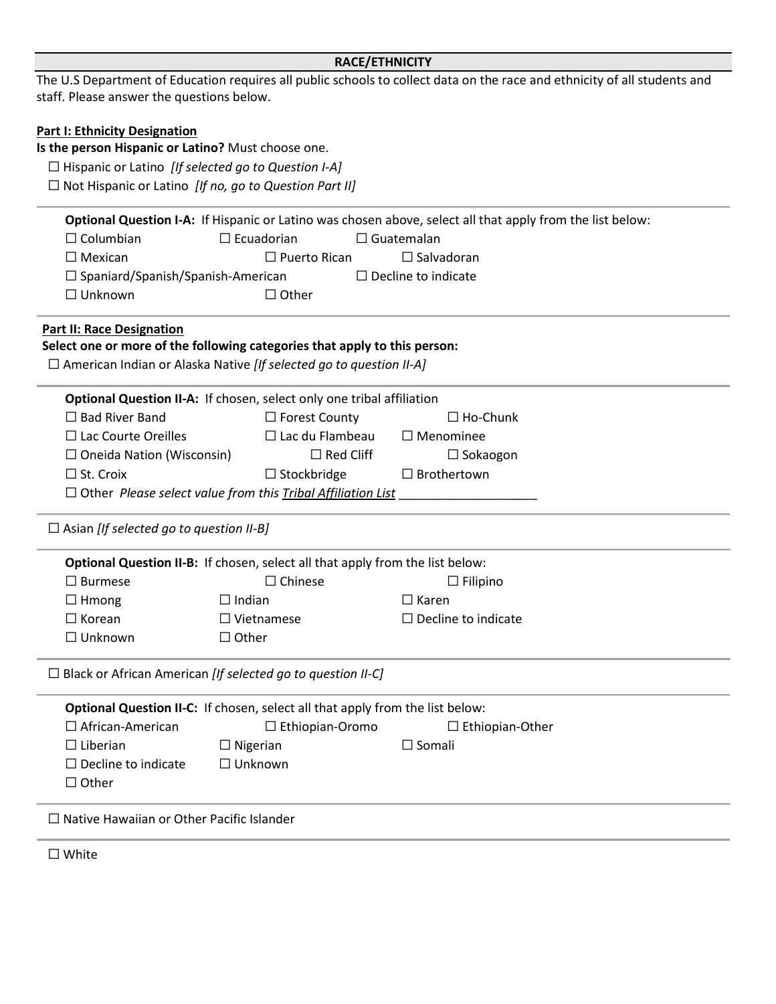|                                                               | <b>RACE/ETHNICITY</b>                                                         |                                                                                                                           |  |  |  |  |  |
|---------------------------------------------------------------|-------------------------------------------------------------------------------|---------------------------------------------------------------------------------------------------------------------------|--|--|--|--|--|
|                                                               |                                                                               | The U.S Department of Education requires all public schools to collect data on the race and ethnicity of all students and |  |  |  |  |  |
| staff. Please answer the questions below.                     |                                                                               |                                                                                                                           |  |  |  |  |  |
|                                                               |                                                                               |                                                                                                                           |  |  |  |  |  |
| <b>Part I: Ethnicity Designation</b>                          |                                                                               |                                                                                                                           |  |  |  |  |  |
| Is the person Hispanic or Latino? Must choose one.            |                                                                               |                                                                                                                           |  |  |  |  |  |
| $\Box$ Hispanic or Latino [If selected go to Question I-A]    |                                                                               |                                                                                                                           |  |  |  |  |  |
| $\Box$ Not Hispanic or Latino [If no, go to Question Part II] |                                                                               |                                                                                                                           |  |  |  |  |  |
|                                                               |                                                                               | Optional Question I-A: If Hispanic or Latino was chosen above, select all that apply from the list below:                 |  |  |  |  |  |
| $\Box$ Columbian                                              | $\Box$ Ecuadorian<br>$\Box$ Guatemalan                                        |                                                                                                                           |  |  |  |  |  |
| $\Box$ Mexican<br>$\Box$ Puerto Rican<br>$\Box$ Salvadoran    |                                                                               |                                                                                                                           |  |  |  |  |  |
| $\Box$ Spaniard/Spanish/Spanish-American                      |                                                                               | $\Box$ Decline to indicate                                                                                                |  |  |  |  |  |
| $\Box$ Unknown                                                | $\Box$ Other                                                                  |                                                                                                                           |  |  |  |  |  |
|                                                               |                                                                               |                                                                                                                           |  |  |  |  |  |
| <b>Part II: Race Designation</b>                              |                                                                               |                                                                                                                           |  |  |  |  |  |
|                                                               | Select one or more of the following categories that apply to this person:     |                                                                                                                           |  |  |  |  |  |
|                                                               | $\Box$ American Indian or Alaska Native [If selected go to question II-A]     |                                                                                                                           |  |  |  |  |  |
|                                                               | Optional Question II-A: If chosen, select only one tribal affiliation         |                                                                                                                           |  |  |  |  |  |
| $\Box$ Bad River Band                                         | $\Box$ Forest County                                                          | $\Box$ Ho-Chunk                                                                                                           |  |  |  |  |  |
| $\Box$ Lac Courte Oreilles                                    | $\Box$ Lac du Flambeau                                                        | $\Box$ Menominee                                                                                                          |  |  |  |  |  |
| $\Box$ Red Cliff<br>$\Box$ Oneida Nation (Wisconsin)          |                                                                               | $\Box$ Sokaogon                                                                                                           |  |  |  |  |  |
| $\Box$ St. Croix                                              | $\Box$ Stockbridge                                                            | $\Box$ Brothertown                                                                                                        |  |  |  |  |  |
|                                                               | $\Box$ Other Please select value from this Tribal Affiliation List            |                                                                                                                           |  |  |  |  |  |
|                                                               |                                                                               |                                                                                                                           |  |  |  |  |  |
| $\Box$ Asian [If selected go to question II-B]                |                                                                               |                                                                                                                           |  |  |  |  |  |
|                                                               | Optional Question II-B: If chosen, select all that apply from the list below: |                                                                                                                           |  |  |  |  |  |
| $\square$ Burmese                                             | $\Box$ Chinese                                                                | $\Box$ Filipino                                                                                                           |  |  |  |  |  |
| $\Box$ Hmong                                                  | $\Box$ Indian                                                                 | $\Box$ Karen                                                                                                              |  |  |  |  |  |
| $\Box$ Korean                                                 | $\Box$ Vietnamese                                                             | $\Box$ Decline to indicate                                                                                                |  |  |  |  |  |
| $\Box$ Unknown                                                | $\Box$ Other                                                                  |                                                                                                                           |  |  |  |  |  |
|                                                               | $\Box$ Black or African American [If selected go to question II-C]            |                                                                                                                           |  |  |  |  |  |
|                                                               |                                                                               |                                                                                                                           |  |  |  |  |  |
|                                                               | Optional Question II-C: If chosen, select all that apply from the list below: |                                                                                                                           |  |  |  |  |  |
| $\Box$ African-American                                       | □ Ethiopian-Oromo                                                             | $\Box$ Ethiopian-Other                                                                                                    |  |  |  |  |  |
| $\Box$ Liberian                                               | $\Box$ Nigerian                                                               | $\square$ Somali                                                                                                          |  |  |  |  |  |
| $\Box$ Decline to indicate                                    | $\Box$ Unknown                                                                |                                                                                                                           |  |  |  |  |  |
| $\Box$ Other                                                  |                                                                               |                                                                                                                           |  |  |  |  |  |
| $\Box$ Native Hawaiian or Other Pacific Islander              |                                                                               |                                                                                                                           |  |  |  |  |  |
| $\square$ White                                               |                                                                               |                                                                                                                           |  |  |  |  |  |
|                                                               |                                                                               |                                                                                                                           |  |  |  |  |  |